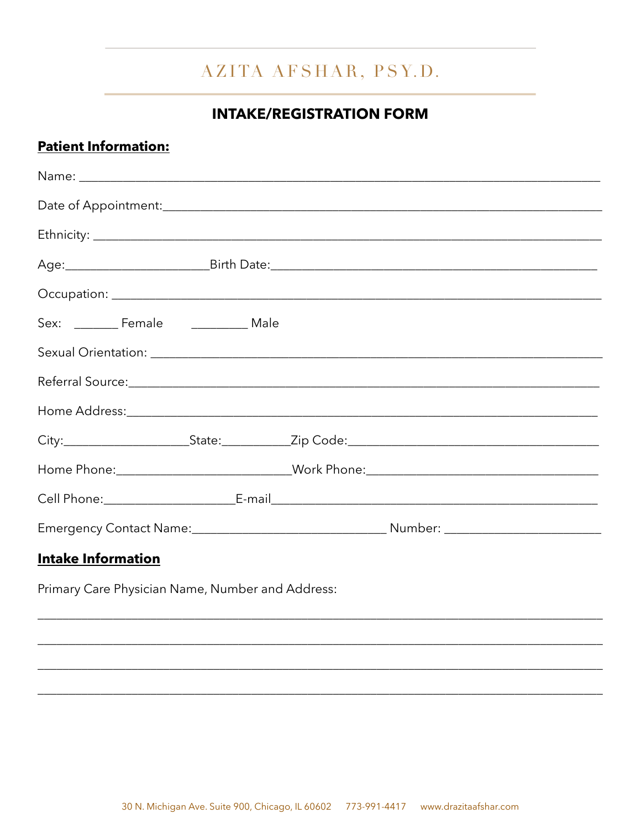## AZITA AFSHAR, PSY.D.

## **INTAKE/REGISTRATION FORM**

## **Patient Information:**

| Sex: __________ Female ________________ Male                                                                   |  |  |                                                                                  |  |  |
|----------------------------------------------------------------------------------------------------------------|--|--|----------------------------------------------------------------------------------|--|--|
|                                                                                                                |  |  |                                                                                  |  |  |
| Referral Source: 1988 and 2008 and 2008 and 2008 and 2008 and 2008 and 2008 and 2008 and 2008 and 2008 and 200 |  |  |                                                                                  |  |  |
|                                                                                                                |  |  |                                                                                  |  |  |
|                                                                                                                |  |  |                                                                                  |  |  |
|                                                                                                                |  |  | Home Phone:_____________________________Work Phone:_____________________________ |  |  |
|                                                                                                                |  |  |                                                                                  |  |  |
|                                                                                                                |  |  |                                                                                  |  |  |
| <b>Intake Information</b>                                                                                      |  |  |                                                                                  |  |  |

Primary Care Physician Name, Number and Address: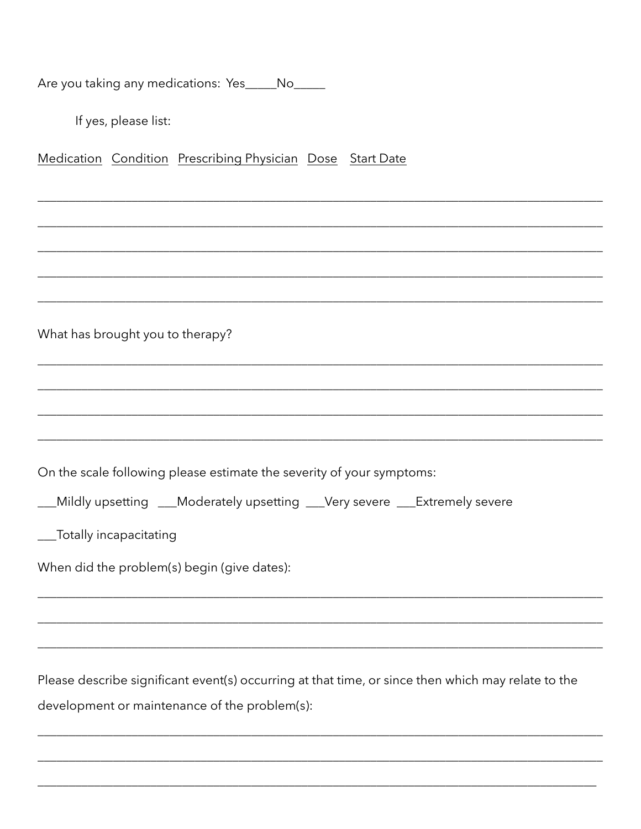Are you taking any medications: Yes\_\_\_\_No\_\_\_\_

If yes, please list:

Medication Condition Prescribing Physician Dose Start Date

What has brought you to therapy?

On the scale following please estimate the severity of your symptoms:

\_\_Mildly upsetting \_\_Moderately upsetting \_\_Very severe \_\_Extremely severe

\_\_Totally incapacitating

When did the problem(s) begin (give dates):

Please describe significant event(s) occurring at that time, or since then which may relate to the development or maintenance of the problem(s):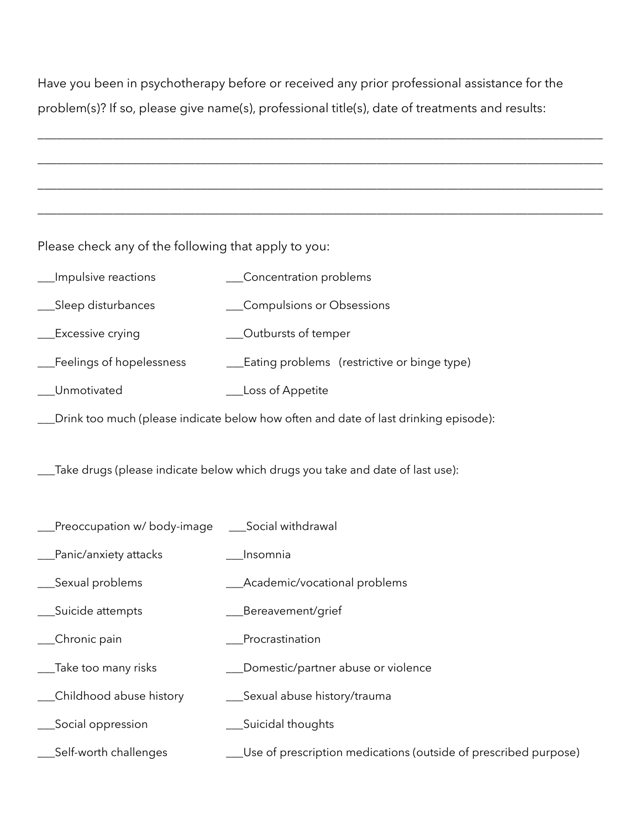Have you been in psychotherapy before or received any prior professional assistance for the problem(s)? If so, please give name(s), professional title(s), date of treatments and results:

\_\_\_\_\_\_\_\_\_\_\_\_\_\_\_\_\_\_\_\_\_\_\_\_\_\_\_\_\_\_\_\_\_\_\_\_\_\_\_\_\_\_\_\_\_\_\_\_\_\_\_\_\_\_\_\_\_\_\_\_\_\_\_\_\_\_\_\_\_\_\_\_\_\_\_\_\_\_\_\_\_\_\_\_\_\_\_\_\_\_

\_\_\_\_\_\_\_\_\_\_\_\_\_\_\_\_\_\_\_\_\_\_\_\_\_\_\_\_\_\_\_\_\_\_\_\_\_\_\_\_\_\_\_\_\_\_\_\_\_\_\_\_\_\_\_\_\_\_\_\_\_\_\_\_\_\_\_\_\_\_\_\_\_\_\_\_\_\_\_\_\_\_\_\_\_\_\_\_\_\_

\_\_\_\_\_\_\_\_\_\_\_\_\_\_\_\_\_\_\_\_\_\_\_\_\_\_\_\_\_\_\_\_\_\_\_\_\_\_\_\_\_\_\_\_\_\_\_\_\_\_\_\_\_\_\_\_\_\_\_\_\_\_\_\_\_\_\_\_\_\_\_\_\_\_\_\_\_\_\_\_\_\_\_\_\_\_\_\_\_\_

\_\_\_\_\_\_\_\_\_\_\_\_\_\_\_\_\_\_\_\_\_\_\_\_\_\_\_\_\_\_\_\_\_\_\_\_\_\_\_\_\_\_\_\_\_\_\_\_\_\_\_\_\_\_\_\_\_\_\_\_\_\_\_\_\_\_\_\_\_\_\_\_\_\_\_\_\_\_\_\_\_\_\_\_\_\_\_\_\_\_

Please check any of the following that apply to you:

| Impulsive reactions                                                                 | Concentration problems                      |  |  |  |
|-------------------------------------------------------------------------------------|---------------------------------------------|--|--|--|
| Sleep disturbances                                                                  | Compulsions or Obsessions                   |  |  |  |
| <b>Excessive crying</b>                                                             | Outbursts of temper                         |  |  |  |
| Feelings of hopelessness                                                            | Eating problems (restrictive or binge type) |  |  |  |
| Unmotivated                                                                         | Loss of Appetite                            |  |  |  |
| Drink too much (please indicate below how often and date of last drinking episode): |                                             |  |  |  |

\_\_\_Take drugs (please indicate below which drugs you take and date of last use):

- \_\_\_Preoccupation w/ body-image \_\_\_Social withdrawal
- \_\_\_Panic/anxiety attacks \_\_\_Insomnia
- \_\_\_Sexual problems \_\_\_Academic/vocational problems
- \_\_\_Suicide attempts \_\_\_Bereavement/grief
- Lacktrian Chronic pain and the contract pain and procrastination
- \_\_\_Take too many risks \_\_\_Domestic/partner abuse or violence
- \_\_\_Childhood abuse history \_\_\_Sexual abuse history/trauma
- \_\_\_Social oppression \_\_\_Suicidal thoughts
- \_\_\_Self-worth challenges \_\_\_Use of prescription medications (outside of prescribed purpose)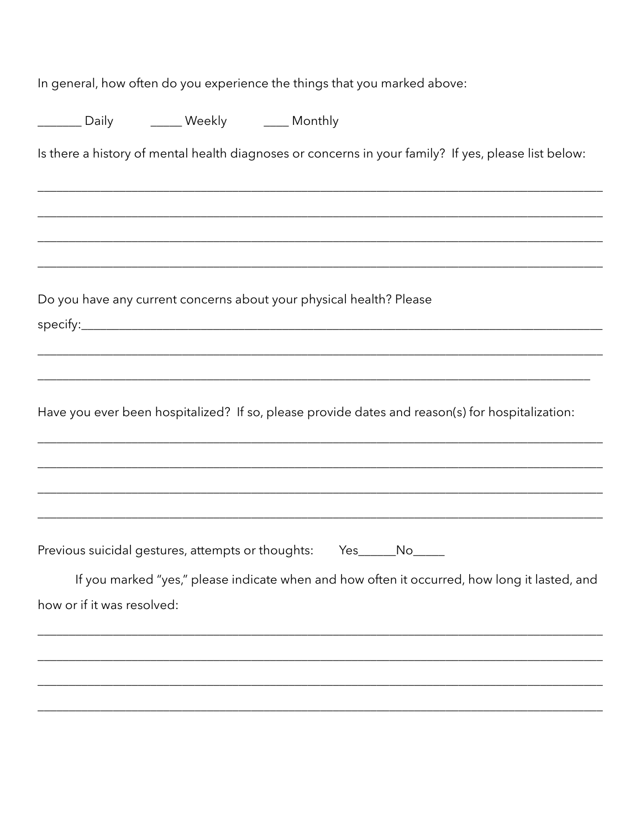In general, how often do you experience the things that you marked above:

|                            | <b>None Common Common Common Common Common Common Common Common Common Common Common Common Common Common Common C</b> |                                                                                                      |
|----------------------------|------------------------------------------------------------------------------------------------------------------------|------------------------------------------------------------------------------------------------------|
|                            |                                                                                                                        | Is there a history of mental health diagnoses or concerns in your family? If yes, please list below: |
|                            |                                                                                                                        |                                                                                                      |
|                            |                                                                                                                        |                                                                                                      |
|                            |                                                                                                                        |                                                                                                      |
|                            |                                                                                                                        | Do you have any current concerns about your physical health? Please                                  |
|                            |                                                                                                                        |                                                                                                      |
|                            |                                                                                                                        | Have you ever been hospitalized? If so, please provide dates and reason(s) for hospitalization:      |
|                            |                                                                                                                        |                                                                                                      |
|                            |                                                                                                                        |                                                                                                      |
|                            |                                                                                                                        | Previous suicidal gestures, attempts or thoughts: Yes_____No____                                     |
|                            |                                                                                                                        | If you marked "yes," please indicate when and how often it occurred, how long it lasted, and         |
| how or if it was resolved: |                                                                                                                        |                                                                                                      |
|                            |                                                                                                                        |                                                                                                      |
|                            |                                                                                                                        |                                                                                                      |
|                            |                                                                                                                        |                                                                                                      |
|                            |                                                                                                                        |                                                                                                      |